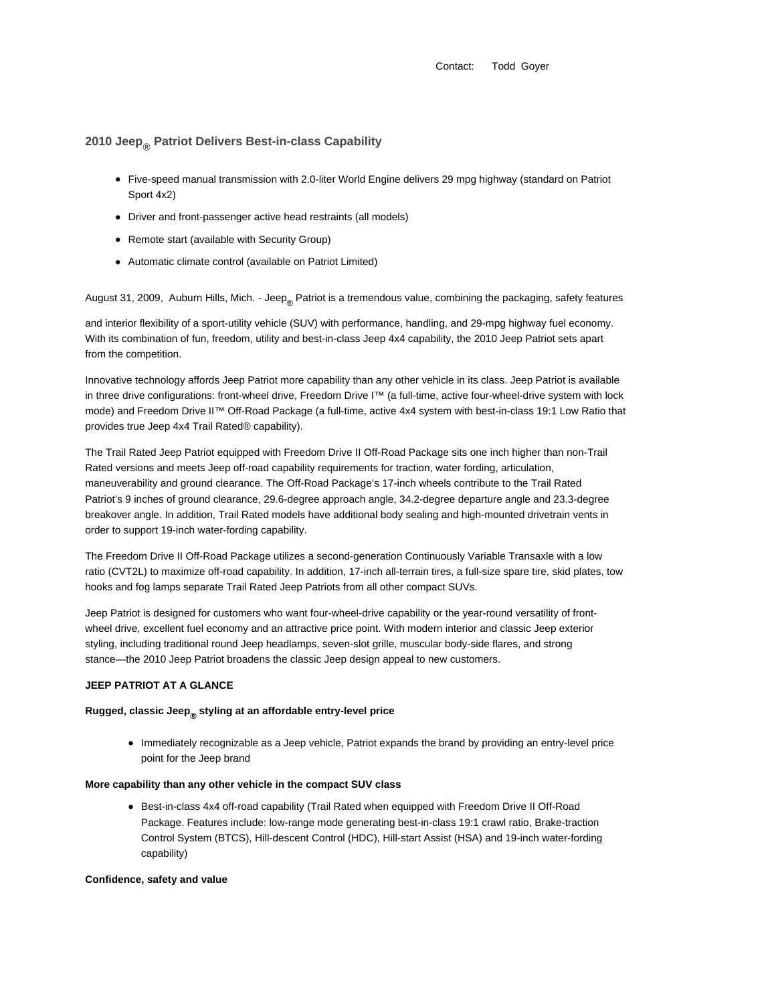Contact: Todd Goyer

# **2010 Jeep® Patriot Delivers Best-in-class Capability**

- Five-speed manual transmission with 2.0-liter World Engine delivers 29 mpg highway (standard on Patriot Sport 4x2)
- Driver and front-passenger active head restraints (all models)
- Remote start (available with Security Group)
- Automatic climate control (available on Patriot Limited)

August 31, 2009, Auburn Hills, Mich. - Jeep<sub>®</sub> Patriot is a tremendous value, combining the packaging, safety features

and interior flexibility of a sport-utility vehicle (SUV) with performance, handling, and 29-mpg highway fuel economy. With its combination of fun, freedom, utility and best-in-class Jeep 4x4 capability, the 2010 Jeep Patriot sets apart from the competition.

Innovative technology affords Jeep Patriot more capability than any other vehicle in its class. Jeep Patriot is available in three drive configurations: front-wheel drive, Freedom Drive I™ (a full-time, active four-wheel-drive system with lock mode) and Freedom Drive II™ Off-Road Package (a full-time, active 4x4 system with best-in-class 19:1 Low Ratio that provides true Jeep 4x4 Trail Rated® capability).

The Trail Rated Jeep Patriot equipped with Freedom Drive II Off-Road Package sits one inch higher than non-Trail Rated versions and meets Jeep off-road capability requirements for traction, water fording, articulation, maneuverability and ground clearance. The Off-Road Package's 17-inch wheels contribute to the Trail Rated Patriot's 9 inches of ground clearance, 29.6-degree approach angle, 34.2-degree departure angle and 23.3-degree breakover angle. In addition, Trail Rated models have additional body sealing and high-mounted drivetrain vents in order to support 19-inch water-fording capability.

The Freedom Drive II Off-Road Package utilizes a second-generation Continuously Variable Transaxle with a low ratio (CVT2L) to maximize off-road capability. In addition, 17-inch all-terrain tires, a full-size spare tire, skid plates, tow hooks and fog lamps separate Trail Rated Jeep Patriots from all other compact SUVs.

Jeep Patriot is designed for customers who want four-wheel-drive capability or the year-round versatility of frontwheel drive, excellent fuel economy and an attractive price point. With modern interior and classic Jeep exterior styling, including traditional round Jeep headlamps, seven-slot grille, muscular body-side flares, and strong stance—the 2010 Jeep Patriot broadens the classic Jeep design appeal to new customers.

#### **JEEP PATRIOT AT A GLANCE**

# **Rugged, classic Jeep® styling at an affordable entry-level price**

• Immediately recognizable as a Jeep vehicle, Patriot expands the brand by providing an entry-level price point for the Jeep brand

#### **More capability than any other vehicle in the compact SUV class**

• Best-in-class 4x4 off-road capability (Trail Rated when equipped with Freedom Drive II Off-Road Package. Features include: low-range mode generating best-in-class 19:1 crawl ratio, Brake-traction Control System (BTCS), Hill-descent Control (HDC), Hill-start Assist (HSA) and 19-inch water-fording capability)

#### **Confidence, safety and value**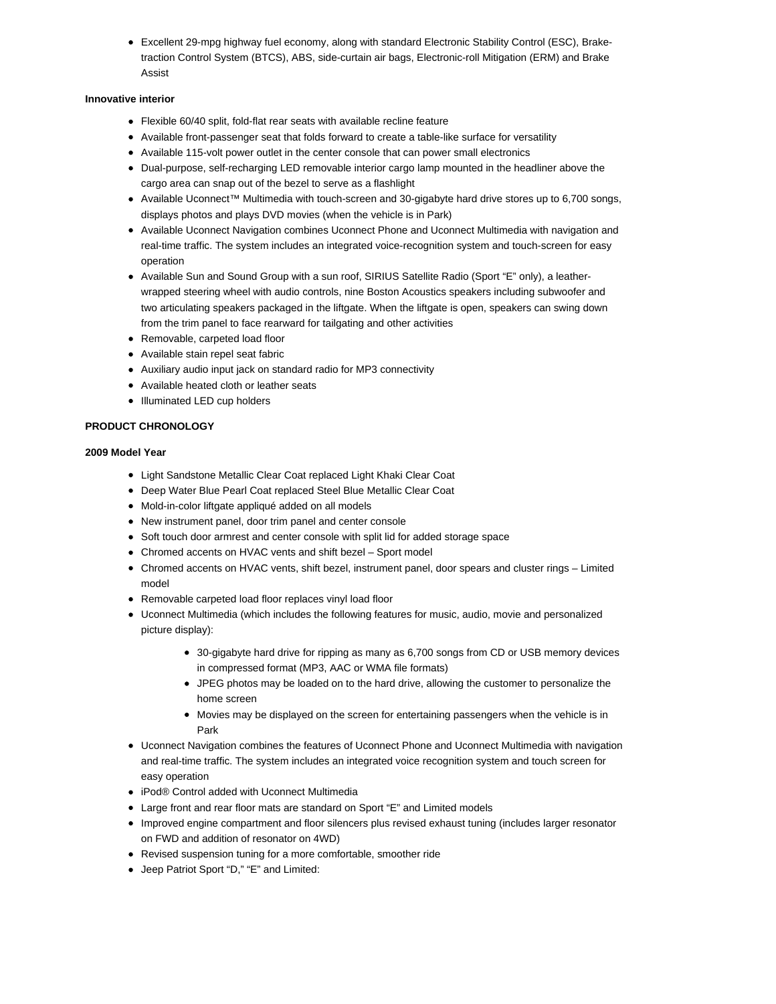Excellent 29-mpg highway fuel economy, along with standard Electronic Stability Control (ESC), Braketraction Control System (BTCS), ABS, side-curtain air bags, Electronic-roll Mitigation (ERM) and Brake Assist

### **Innovative interior**

- Flexible 60/40 split, fold-flat rear seats with available recline feature
- Available front-passenger seat that folds forward to create a table-like surface for versatility
- Available 115-volt power outlet in the center console that can power small electronics
- Dual-purpose, self-recharging LED removable interior cargo lamp mounted in the headliner above the cargo area can snap out of the bezel to serve as a flashlight
- Available Uconnect™ Multimedia with touch-screen and 30-gigabyte hard drive stores up to 6,700 songs, displays photos and plays DVD movies (when the vehicle is in Park)
- Available Uconnect Navigation combines Uconnect Phone and Uconnect Multimedia with navigation and real-time traffic. The system includes an integrated voice-recognition system and touch-screen for easy operation
- Available Sun and Sound Group with a sun roof, SIRIUS Satellite Radio (Sport "E" only), a leatherwrapped steering wheel with audio controls, nine Boston Acoustics speakers including subwoofer and two articulating speakers packaged in the liftgate. When the liftgate is open, speakers can swing down from the trim panel to face rearward for tailgating and other activities
- Removable, carpeted load floor
- Available stain repel seat fabric
- Auxiliary audio input jack on standard radio for MP3 connectivity
- Available heated cloth or leather seats
- Illuminated LED cup holders

# **PRODUCT CHRONOLOGY**

## **2009 Model Year**

- Light Sandstone Metallic Clear Coat replaced Light Khaki Clear Coat
- Deep Water Blue Pearl Coat replaced Steel Blue Metallic Clear Coat
- Mold-in-color liftgate appliqué added on all models
- New instrument panel, door trim panel and center console
- Soft touch door armrest and center console with split lid for added storage space
- Chromed accents on HVAC vents and shift bezel Sport model
- Chromed accents on HVAC vents, shift bezel, instrument panel, door spears and cluster rings Limited model
- Removable carpeted load floor replaces vinyl load floor
- Uconnect Multimedia (which includes the following features for music, audio, movie and personalized picture display):
	- 30-gigabyte hard drive for ripping as many as 6,700 songs from CD or USB memory devices in compressed format (MP3, AAC or WMA file formats)
	- JPEG photos may be loaded on to the hard drive, allowing the customer to personalize the home screen
	- Movies may be displayed on the screen for entertaining passengers when the vehicle is in Park
- Uconnect Navigation combines the features of Uconnect Phone and Uconnect Multimedia with navigation and real-time traffic. The system includes an integrated voice recognition system and touch screen for easy operation
- iPod® Control added with Uconnect Multimedia
- Large front and rear floor mats are standard on Sport "E" and Limited models
- Improved engine compartment and floor silencers plus revised exhaust tuning (includes larger resonator on FWD and addition of resonator on 4WD)
- Revised suspension tuning for a more comfortable, smoother ride
- Jeep Patriot Sport "D," "E" and Limited: